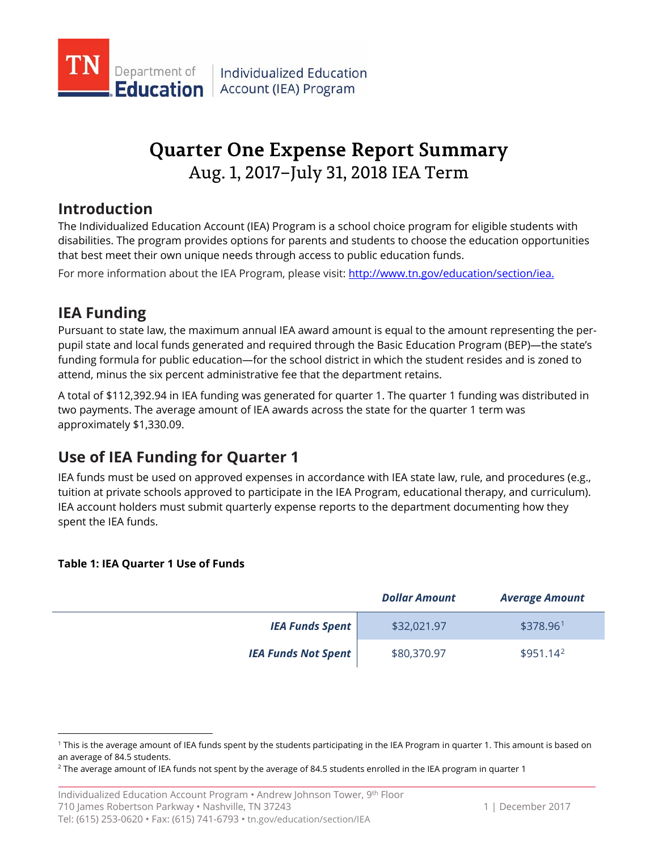

# **Quarter One Expense Report Summary** Aug. 1, 2017–July 31, 2018 IEA Term

## **Introduction**

The Individualized Education Account (IEA) Program is a school choice program for eligible students with disabilities. The program provides options for parents and students to choose the education opportunities that best meet their own unique needs through access to public education funds.

For more information about the IEA Program, please visit: [http://www.tn.gov/education/section/iea.](http://www.tn.gov/education/section/iea) 

## **IEA Funding**

Pursuant to state law, the maximum annual IEA award amount is equal to the amount representing the perpupil state and local funds generated and required through the Basic Education Program (BEP)—the state's funding formula for public education—for the school district in which the student resides and is zoned to attend, minus the six percent administrative fee that the department retains.

A total of \$112,392.94 in IEA funding was generated for quarter 1. The quarter 1 funding was distributed in two payments. The average amount of IEA awards across the state for the quarter 1 term was approximately \$1,330.09.

## **Use of IEA Funding for Quarter 1**

IEA funds must be used on approved expenses in accordance with IEA state law, rule, and procedures (e.g., tuition at private schools approved to participate in the IEA Program, educational therapy, and curriculum). IEA account holders must submit quarterly expense reports to the department documenting how they spent the IEA funds.

### **Table 1: IEA Quarter 1 Use of Funds**

 $\overline{a}$ 

|                            | <b>Dollar Amount</b> | <b>Average Amount</b> |
|----------------------------|----------------------|-----------------------|
| <b>IEA Funds Spent</b>     | \$32,021.97          | \$378.96 <sup>1</sup> |
| <b>IEA Funds Not Spent</b> | \$80,370.97          | $$951.14^2$           |

<span id="page-0-0"></span><sup>1</sup> This is the average amount of IEA funds spent by the students participating in the IEA Program in quarter 1. This amount is based on an average of 84.5 students.

<span id="page-0-1"></span> $2$  The average amount of IEA funds not spent by the average of 84.5 students enrolled in the IEA program in quarter 1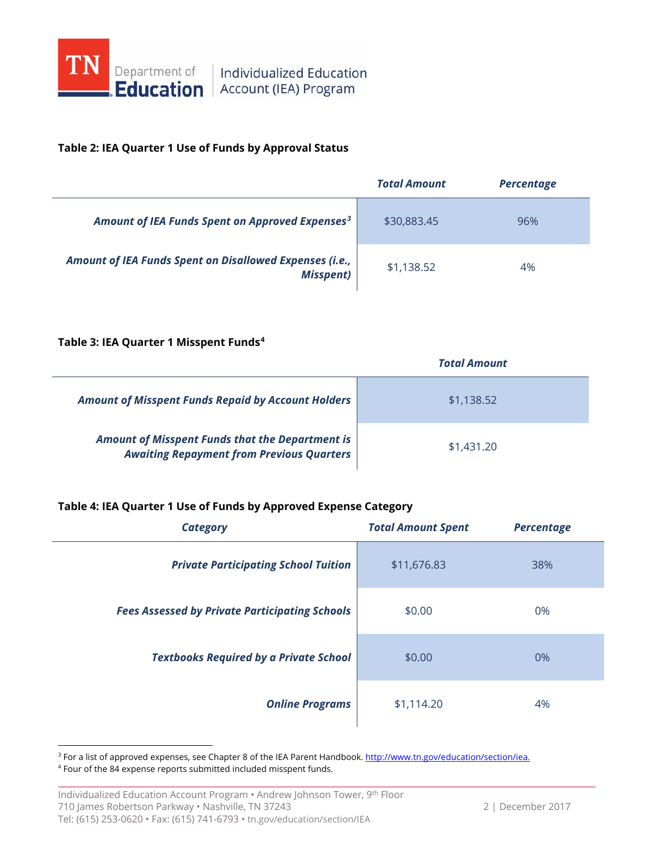

#### **Table 2: IEA Quarter 1 Use of Funds by Approval Status**

|                                                                              | <b>Total Amount</b> | <b>Percentage</b> |
|------------------------------------------------------------------------------|---------------------|-------------------|
| Amount of IEA Funds Spent on Approved Expenses <sup>3</sup>                  | \$30,883.45         | 96%               |
| Amount of IEA Funds Spent on Disallowed Expenses (i.e.,<br><b>Misspent</b> ) | \$1,138.52          | 4%                |

#### **Table 3: IEA Quarter 1 Misspent Funds[4](#page-1-1)**

|                                                                                                            | <b>Total Amount</b> |  |
|------------------------------------------------------------------------------------------------------------|---------------------|--|
| <b>Amount of Misspent Funds Repaid by Account Holders</b>                                                  | \$1,138.52          |  |
| <b>Amount of Misspent Funds that the Department is</b><br><b>Awaiting Repayment from Previous Quarters</b> | \$1,431.20          |  |

#### **Table 4: IEA Quarter 1 Use of Funds by Approved Expense Category**

| <b>Category</b>                                       | <b>Total Amount Spent</b> | <b>Percentage</b> |
|-------------------------------------------------------|---------------------------|-------------------|
| <b>Private Participating School Tuition</b>           | \$11,676.83               | 38%               |
| <b>Fees Assessed by Private Participating Schools</b> | \$0.00                    | 0%                |
| <b>Textbooks Required by a Private School</b>         | \$0.00                    | 0%                |
| <b>Online Programs</b>                                | \$1,114.20                | 4%                |

<span id="page-1-0"></span><sup>&</sup>lt;sup>3</sup> For a list of approved expenses, see Chapter 8 of the IEA Parent Handbook[. http://www.tn.gov/education/section/iea.](http://www.tn.gov/education/section/iea)

 $\overline{a}$ 

<span id="page-1-1"></span><sup>4</sup> Four of the 84 expense reports submitted included misspent funds.